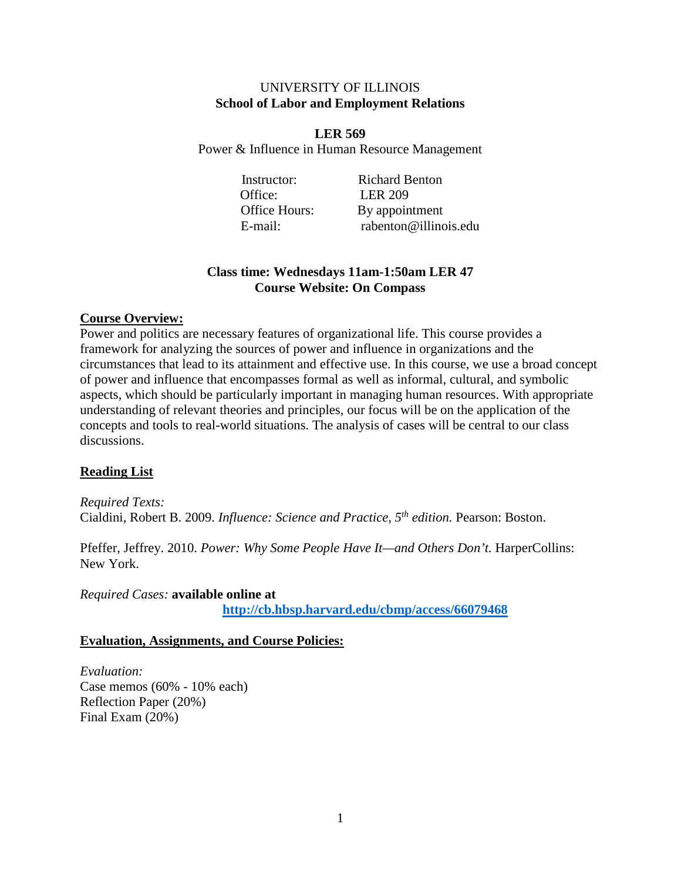### UNIVERSITY OF ILLINOIS **School of Labor and Employment Relations**

**LER 569** Power & Influence in Human Resource Management

Office: LER 209

Instructor: Richard Benton Office Hours: By appointment E-mail: rabenton@illinois.edu

## **Class time: Wednesdays 11am-1:50am LER 47 Course Website: On Compass**

### **Course Overview:**

Power and politics are necessary features of organizational life. This course provides a framework for analyzing the sources of power and influence in organizations and the circumstances that lead to its attainment and effective use. In this course, we use a broad concept of power and influence that encompasses formal as well as informal, cultural, and symbolic aspects, which should be particularly important in managing human resources. With appropriate understanding of relevant theories and principles, our focus will be on the application of the concepts and tools to real-world situations. The analysis of cases will be central to our class discussions.

## **Reading List**

*Required Texts:* Cialdini, Robert B. 2009. *Influence: Science and Practice, 5th edition.* Pearson: Boston.

Pfeffer, Jeffrey. 2010. *Power: Why Some People Have It—and Others Don't*. HarperCollins: New York.

*Required Cases:* **available online at**

**<http://cb.hbsp.harvard.edu/cbmp/access/66079468>**

### **Evaluation, Assignments, and Course Policies:**

*Evaluation:* Case memos (60% - 10% each) Reflection Paper (20%) Final Exam (20%)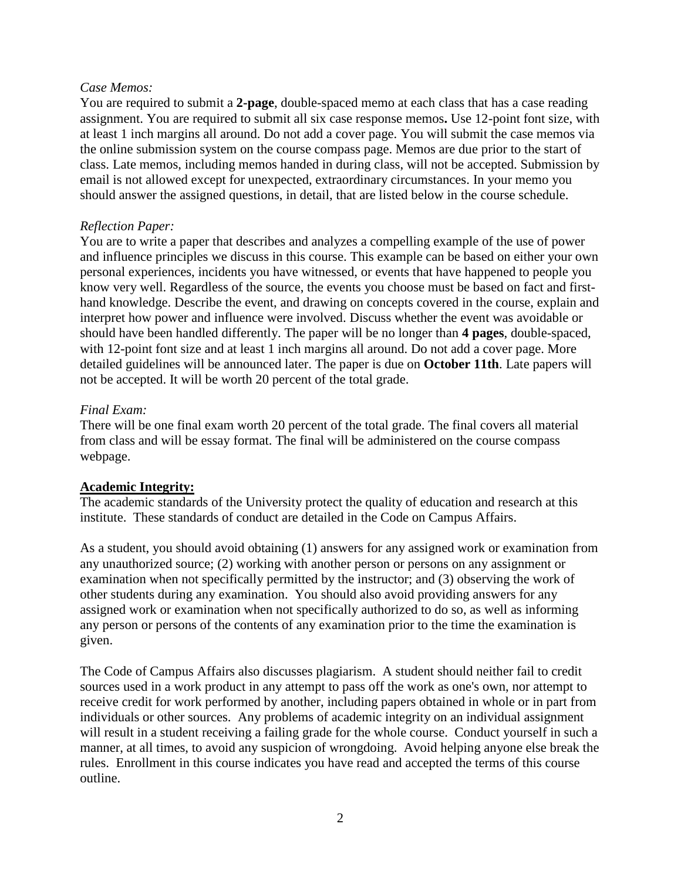### *Case Memos:*

You are required to submit a **2-page**, double-spaced memo at each class that has a case reading assignment. You are required to submit all six case response memos**.** Use 12-point font size, with at least 1 inch margins all around. Do not add a cover page. You will submit the case memos via the online submission system on the course compass page. Memos are due prior to the start of class. Late memos, including memos handed in during class, will not be accepted. Submission by email is not allowed except for unexpected, extraordinary circumstances. In your memo you should answer the assigned questions, in detail, that are listed below in the course schedule.

### *Reflection Paper:*

You are to write a paper that describes and analyzes a compelling example of the use of power and influence principles we discuss in this course. This example can be based on either your own personal experiences, incidents you have witnessed, or events that have happened to people you know very well. Regardless of the source, the events you choose must be based on fact and firsthand knowledge. Describe the event, and drawing on concepts covered in the course, explain and interpret how power and influence were involved. Discuss whether the event was avoidable or should have been handled differently. The paper will be no longer than **4 pages**, double-spaced, with 12-point font size and at least 1 inch margins all around. Do not add a cover page. More detailed guidelines will be announced later. The paper is due on **October 11th**. Late papers will not be accepted. It will be worth 20 percent of the total grade.

### *Final Exam:*

There will be one final exam worth 20 percent of the total grade. The final covers all material from class and will be essay format. The final will be administered on the course compass webpage.

## **Academic Integrity:**

The academic standards of the University protect the quality of education and research at this institute. These standards of conduct are detailed in the Code on Campus Affairs.

As a student, you should avoid obtaining (1) answers for any assigned work or examination from any unauthorized source; (2) working with another person or persons on any assignment or examination when not specifically permitted by the instructor; and (3) observing the work of other students during any examination. You should also avoid providing answers for any assigned work or examination when not specifically authorized to do so, as well as informing any person or persons of the contents of any examination prior to the time the examination is given.

The Code of Campus Affairs also discusses plagiarism. A student should neither fail to credit sources used in a work product in any attempt to pass off the work as one's own, nor attempt to receive credit for work performed by another, including papers obtained in whole or in part from individuals or other sources. Any problems of academic integrity on an individual assignment will result in a student receiving a failing grade for the whole course. Conduct yourself in such a manner, at all times, to avoid any suspicion of wrongdoing. Avoid helping anyone else break the rules. Enrollment in this course indicates you have read and accepted the terms of this course outline.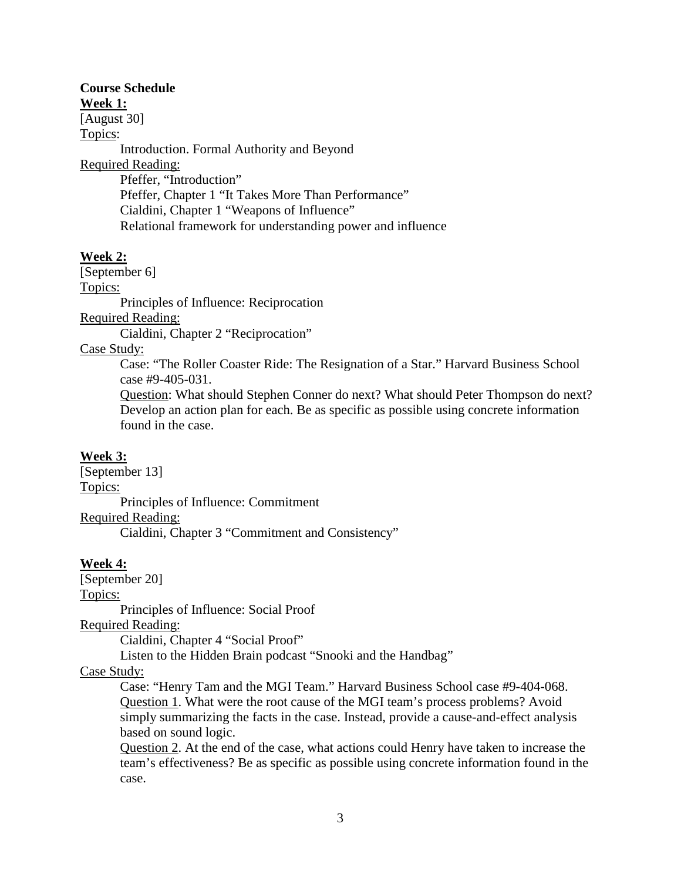# **Course Schedule**

**Week 1:**

[August 30]

Topics:

Introduction. Formal Authority and Beyond Required Reading: Pfeffer, "Introduction" Pfeffer, Chapter 1 "It Takes More Than Performance" Cialdini, Chapter 1 "Weapons of Influence" Relational framework for understanding power and influence

## **Week 2:**

[September 6] Topics: Principles of Influence: Reciprocation

Required Reading:

Cialdini, Chapter 2 "Reciprocation"

## Case Study:

Case: "The Roller Coaster Ride: The Resignation of a Star." Harvard Business School case #9-405-031.

Question: What should Stephen Conner do next? What should Peter Thompson do next? Develop an action plan for each. Be as specific as possible using concrete information found in the case.

## **Week 3:**

[September 13] Topics: Principles of Influence: Commitment Required Reading: Cialdini, Chapter 3 "Commitment and Consistency"

## **Week 4:**

[September 20]

Topics:

Principles of Influence: Social Proof

Required Reading:

Cialdini, Chapter 4 "Social Proof"

Listen to the Hidden Brain podcast "Snooki and the Handbag"

# Case Study:

Case: "Henry Tam and the MGI Team." Harvard Business School case #9-404-068. Question 1. What were the root cause of the MGI team's process problems? Avoid simply summarizing the facts in the case. Instead, provide a cause-and-effect analysis based on sound logic.

Question 2. At the end of the case, what actions could Henry have taken to increase the team's effectiveness? Be as specific as possible using concrete information found in the case.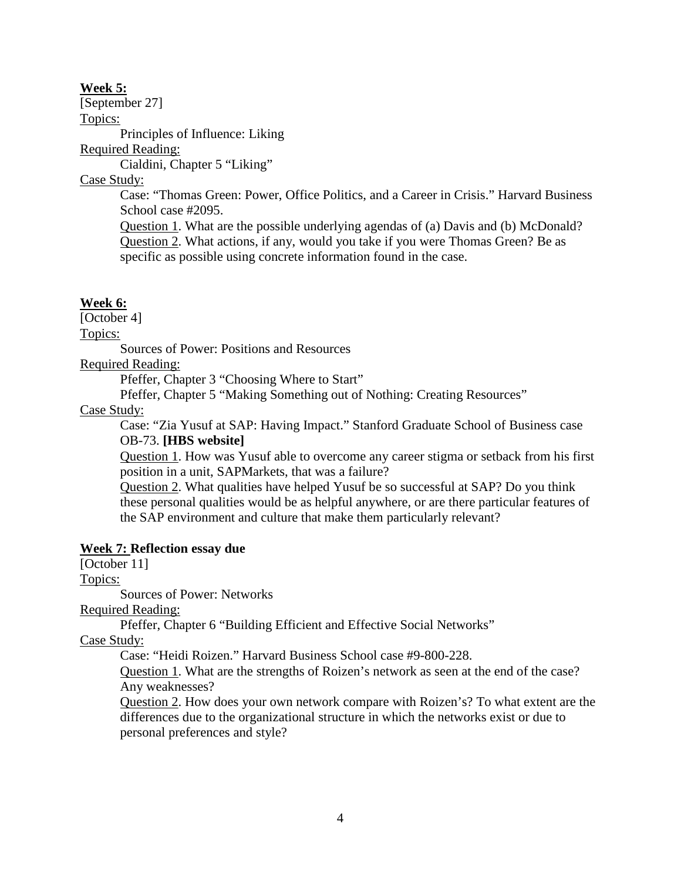### **Week 5:**

[September 27] Topics:

Principles of Influence: Liking

Required Reading:

Cialdini, Chapter 5 "Liking"

Case Study:

Case: "Thomas Green: Power, Office Politics, and a Career in Crisis." Harvard Business School case #2095.

Question 1. What are the possible underlying agendas of (a) Davis and (b) McDonald? Question 2. What actions, if any, would you take if you were Thomas Green? Be as specific as possible using concrete information found in the case.

### **Week 6:**

[October 4]

Topics:

Sources of Power: Positions and Resources

Required Reading:

Pfeffer, Chapter 3 "Choosing Where to Start"

Pfeffer, Chapter 5 "Making Something out of Nothing: Creating Resources"

### Case Study:

Case: "Zia Yusuf at SAP: Having Impact." Stanford Graduate School of Business case OB-73. **[HBS website]**

Question 1. How was Yusuf able to overcome any career stigma or setback from his first position in a unit, SAPMarkets, that was a failure?

Question 2. What qualities have helped Yusuf be so successful at SAP? Do you think these personal qualities would be as helpful anywhere, or are there particular features of the SAP environment and culture that make them particularly relevant?

### **Week 7: Reflection essay due**

[October 11]

Topics:

Sources of Power: Networks

Required Reading:

Pfeffer, Chapter 6 "Building Efficient and Effective Social Networks"

Case Study:

Case: "Heidi Roizen." Harvard Business School case #9-800-228.

Question 1. What are the strengths of Roizen's network as seen at the end of the case? Any weaknesses?

Question 2. How does your own network compare with Roizen's? To what extent are the differences due to the organizational structure in which the networks exist or due to personal preferences and style?